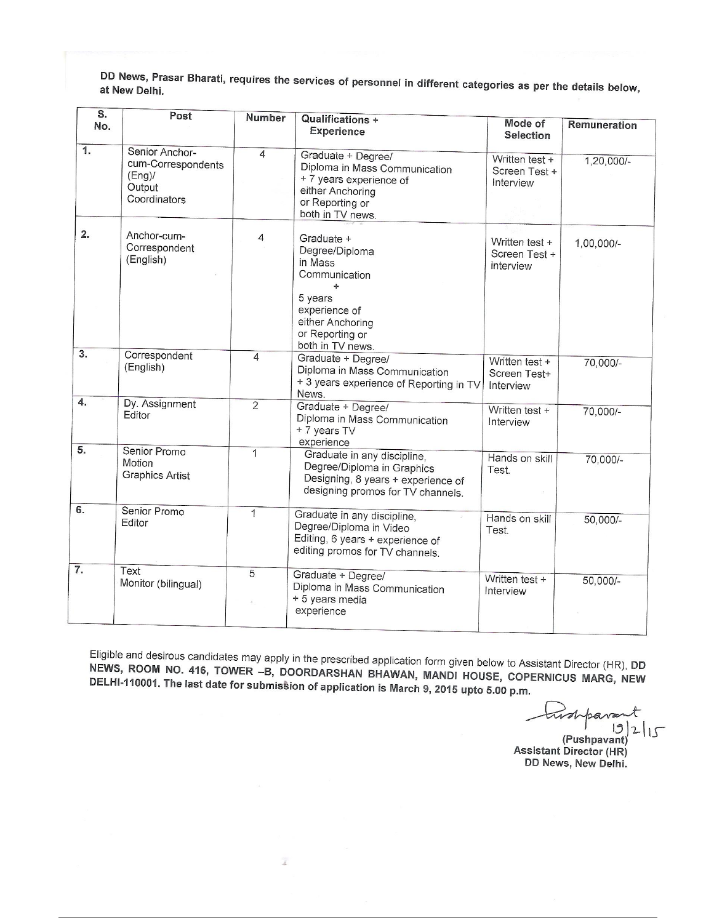DD News, Prasar Bharati, requires the services of personnel in different categories as per the details below, at New Delhi.

| $\overline{\mathsf{s}}$ .<br>No. | Post                                                                    | <b>Number</b>  | <b>Qualifications +</b><br><b>Experience</b>                                                                                                                                                         | <b>Mode of</b><br><b>Selection</b>           | <b>Remuneration</b> |
|----------------------------------|-------------------------------------------------------------------------|----------------|------------------------------------------------------------------------------------------------------------------------------------------------------------------------------------------------------|----------------------------------------------|---------------------|
| 1.                               | Senior Anchor-<br>cum-Correspondents<br>(Eng)<br>Output<br>Coordinators | $\overline{4}$ | Graduate + Degree/<br>Diploma in Mass Communication<br>+ 7 years experience of<br>either Anchoring<br>or Reporting or<br>both in TV news.                                                            | Written test +<br>Screen Test +<br>Interview | $1,20,000/-$        |
| 2.                               | Anchor-cum-<br>Correspondent<br>(English)                               | 4              | Graduate +<br>Written test +<br>Degree/Diploma<br>Screen Test +<br>in Mass<br>interview<br>Communication<br>÷<br>5 years<br>experience of<br>either Anchoring<br>or Reporting or<br>both in TV news. |                                              | 1,00,000/-          |
| 3.                               | Correspondent<br>(English)                                              | $\overline{4}$ | Graduate + Degree/<br>Diploma in Mass Communication<br>+ 3 years experience of Reporting in TV<br>News.                                                                                              | Written test +<br>Screen Test+<br>Interview  | 70,000/-            |
| $\overline{4}$ .                 | Dy. Assignment<br>Editor                                                | $\overline{2}$ | Graduate + Degree/<br>Diploma in Mass Communication<br>+ 7 years TV<br>experience                                                                                                                    | Written test +<br>Interview                  | 70,000/-            |
| 5.                               | Senior Promo<br>Motion<br><b>Graphics Artist</b>                        | 1              | Graduate in any discipline,<br>Degree/Diploma in Graphics<br>Designing, 8 years + experience of<br>designing promos for TV channels.                                                                 | Hands on skill<br>Test.                      | 70,000/-            |
| 6.                               | Senior Promo<br>Editor                                                  | 1              | Graduate in any discipline,<br>Degree/Diploma in Video<br>Editing, 6 years + experience of<br>editing promos for TV channels.                                                                        | Hands on skill<br>Test.                      | $50,000/-$          |
| $\overline{7}$ .                 | Text<br>Monitor (bilingual)                                             | 5              | Graduate + Degree/<br>Diploma in Mass Communication<br>+ 5 years media<br>experience                                                                                                                 | Written test +<br>Interview                  | 50,000/-            |

Eligible and desirous candidates may apply in the prescribed application form given below to Assistant Director (HR), DD NEWS, ROOM NO. 416, TOWER -B, DOORDARSHAN BHAWAN, MANDI HOUSE, COPERNICUS MARG, NEW DELHI-110001. The last date for submission of application is March 9, 2015 upto 5.00 p.m.

 $\bar{z}$ 

bara  $|3|2|15$ (Pushpavant)

**Assistant Director (HR)** DD News, New Delhi.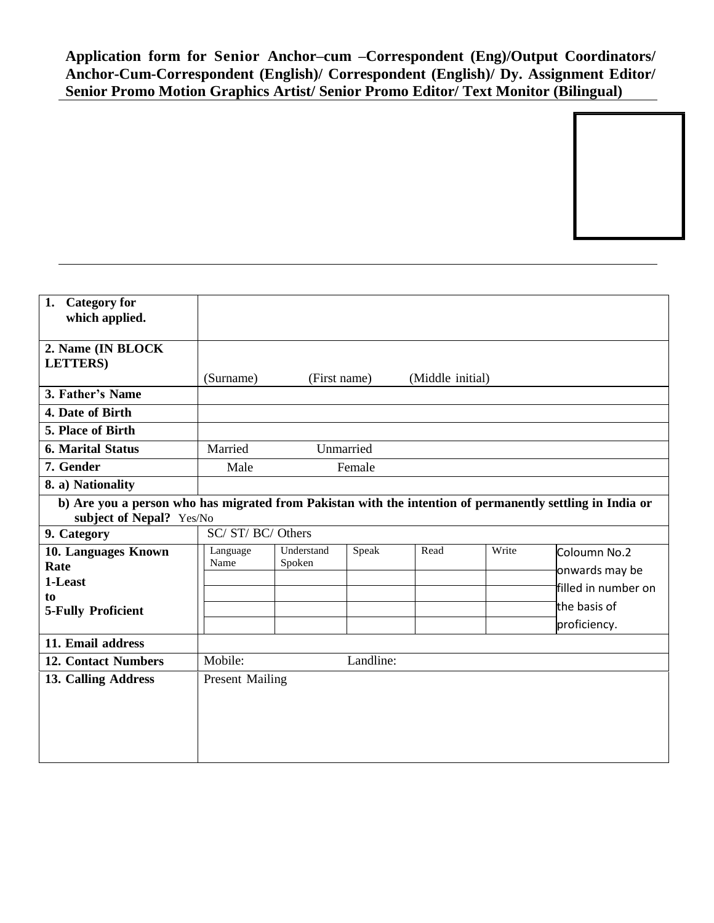**Application form for Senior Anchor–cum –Correspondent (Eng)/Output Coordinators/ Anchor-Cum-Correspondent (English)/ Correspondent (English)/ Dy. Assignment Editor/ Senior Promo Motion Graphics Artist/ Senior Promo Editor/ Text Monitor (Bilingual)**

| 1.                                                                                                        |                           |            |           |                  |       |                     |
|-----------------------------------------------------------------------------------------------------------|---------------------------|------------|-----------|------------------|-------|---------------------|
| <b>Category for</b>                                                                                       |                           |            |           |                  |       |                     |
| which applied.                                                                                            |                           |            |           |                  |       |                     |
|                                                                                                           |                           |            |           |                  |       |                     |
| 2. Name (IN BLOCK                                                                                         |                           |            |           |                  |       |                     |
| <b>LETTERS</b> )                                                                                          |                           |            |           |                  |       |                     |
|                                                                                                           | (Surname)<br>(First name) |            |           | (Middle initial) |       |                     |
| 3. Father's Name                                                                                          |                           |            |           |                  |       |                     |
| 4. Date of Birth                                                                                          |                           |            |           |                  |       |                     |
| 5. Place of Birth                                                                                         |                           |            |           |                  |       |                     |
| <b>6. Marital Status</b>                                                                                  | Married                   |            | Unmarried |                  |       |                     |
| 7. Gender                                                                                                 | Male                      |            | Female    |                  |       |                     |
| 8. a) Nationality                                                                                         |                           |            |           |                  |       |                     |
| b) Are you a person who has migrated from Pakistan with the intention of permanently settling in India or |                           |            |           |                  |       |                     |
| subject of Nepal? Yes/No                                                                                  |                           |            |           |                  |       |                     |
| 9. Category                                                                                               | SC/ ST/ BC/ Others        |            |           |                  |       |                     |
| 10. Languages Known                                                                                       | Language                  | Understand | Speak     | Read             | Write | Coloumn No.2        |
| Rate                                                                                                      | Name                      | Spoken     |           |                  |       | onwards may be      |
| 1-Least                                                                                                   |                           |            |           |                  |       | filled in number on |
| to                                                                                                        |                           |            |           |                  |       |                     |
| <b>5-Fully Proficient</b>                                                                                 |                           |            |           |                  |       | the basis of        |
|                                                                                                           |                           |            |           |                  |       | proficiency.        |
| 11. Email address                                                                                         |                           |            |           |                  |       |                     |
| <b>12. Contact Numbers</b>                                                                                | Mobile:<br>Landline:      |            |           |                  |       |                     |
| 13. Calling Address                                                                                       | <b>Present Mailing</b>    |            |           |                  |       |                     |
|                                                                                                           |                           |            |           |                  |       |                     |
|                                                                                                           |                           |            |           |                  |       |                     |
|                                                                                                           |                           |            |           |                  |       |                     |
|                                                                                                           |                           |            |           |                  |       |                     |
|                                                                                                           |                           |            |           |                  |       |                     |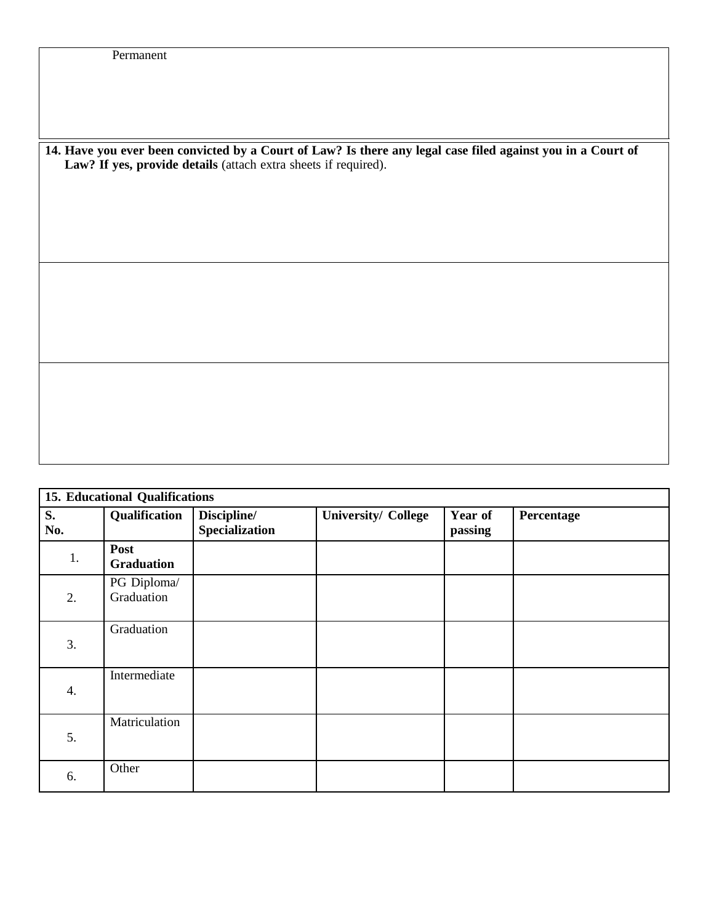14. Have you ever been convicted by a Court of Law? Is there any legal case filed against you in a Court of **Law? If yes, provide details** (attach extra sheets if required).

| <b>15. Educational Qualifications</b> |                           |                                      |                            |                    |            |
|---------------------------------------|---------------------------|--------------------------------------|----------------------------|--------------------|------------|
| S.<br>No.                             | Qualification             | Discipline/<br><b>Specialization</b> | <b>University/ College</b> | Year of<br>passing | Percentage |
| 1.                                    | Post<br>Graduation        |                                      |                            |                    |            |
| 2.                                    | PG Diploma/<br>Graduation |                                      |                            |                    |            |
| 3.                                    | Graduation                |                                      |                            |                    |            |
| 4.                                    | Intermediate              |                                      |                            |                    |            |
| 5.                                    | Matriculation             |                                      |                            |                    |            |
| 6.                                    | Other                     |                                      |                            |                    |            |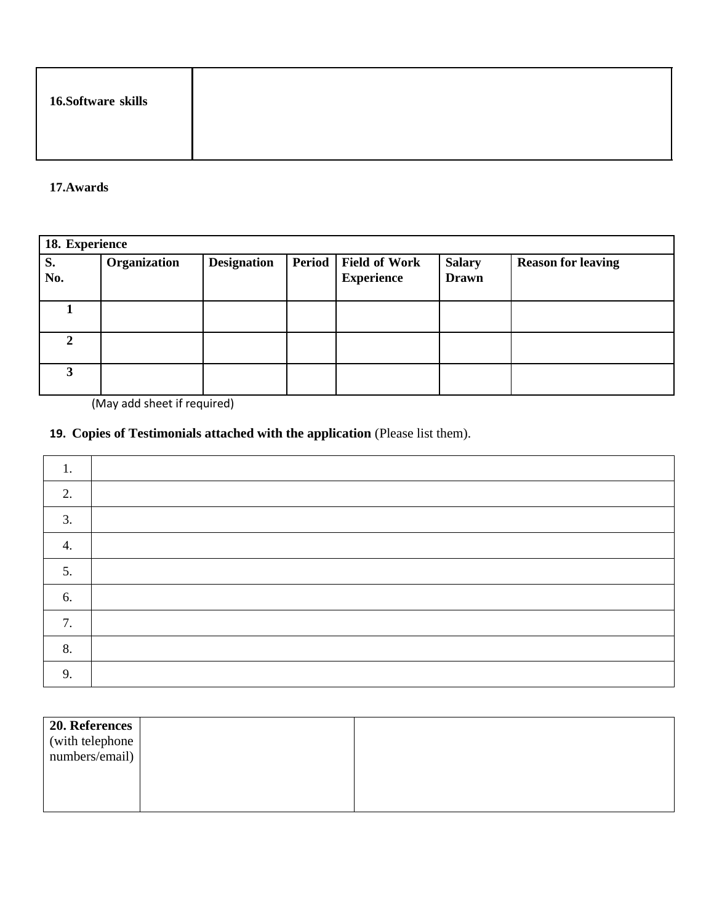| 16.Software skills |  |
|--------------------|--|
|--------------------|--|

## **17.Awards**

| 18. Experience |              |                    |  |                                                  |                               |                           |
|----------------|--------------|--------------------|--|--------------------------------------------------|-------------------------------|---------------------------|
| S.<br>No.      | Organization | <b>Designation</b> |  | <b>Period</b> Field of Work<br><b>Experience</b> | <b>Salary</b><br><b>Drawn</b> | <b>Reason for leaving</b> |
|                |              |                    |  |                                                  |                               |                           |
| 2.             |              |                    |  |                                                  |                               |                           |
| 3              |              |                    |  |                                                  |                               |                           |

(May add sheet if required)

## **19. Copies of Testimonials attached with the application** (Please list them).

| ı. |  |
|----|--|
| 2. |  |
| 3. |  |
| 4. |  |
| 5. |  |
| 6. |  |
| 7. |  |
| 8. |  |
| 9. |  |

| 20. References                                                  |  |
|-----------------------------------------------------------------|--|
| $\left(\text{with telephone} \atop \text{numbers/email}\right)$ |  |
|                                                                 |  |
|                                                                 |  |
|                                                                 |  |
|                                                                 |  |